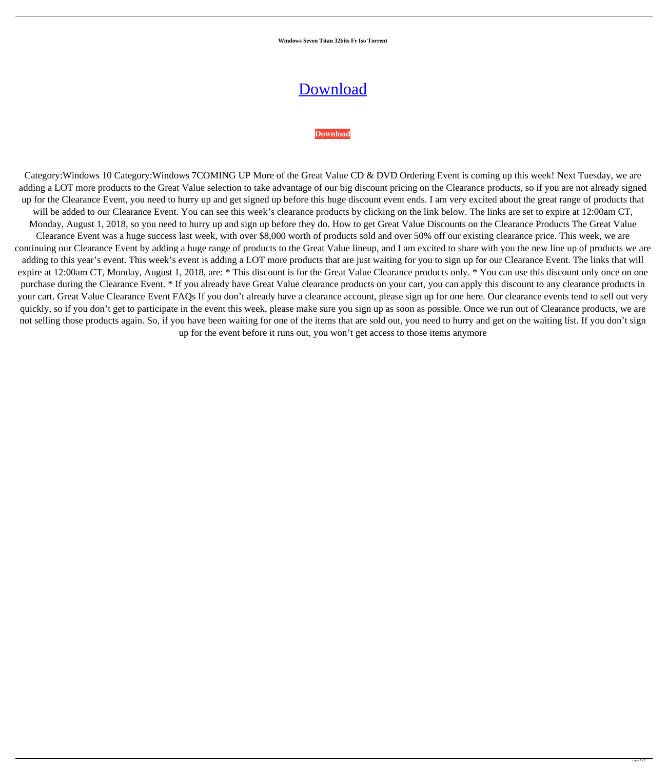**Windows Seven Titan 32bits Fr Iso Torrent**

## [Download](http://evacdir.com/jabil/tryst.greenbrier.ZG93bmxvYWR8SGsxYW1zemZId3hOalV5TnpRd09EWTJmSHd5TlRjMGZId29UU2tnY21WaFpDMWliRzluSUZ0R1lYTjBJRWRGVGww?spawned=.d2luZG93cyBzZXZlbiB0aXRhbiAzMmJpdHMgZnIgaXNvIHRvcnJlbnQd2l)

## **[Download](http://evacdir.com/jabil/tryst.greenbrier.ZG93bmxvYWR8SGsxYW1zemZId3hOalV5TnpRd09EWTJmSHd5TlRjMGZId29UU2tnY21WaFpDMWliRzluSUZ0R1lYTjBJRWRGVGww?spawned=.d2luZG93cyBzZXZlbiB0aXRhbiAzMmJpdHMgZnIgaXNvIHRvcnJlbnQd2l)**

Category:Windows 10 Category:Windows 7COMING UP More of the Great Value CD & DVD Ordering Event is coming up this week! Next Tuesday, we are adding a LOT more products to the Great Value selection to take advantage of our big discount pricing on the Clearance products, so if you are not already signed up for the Clearance Event, you need to hurry up and get signed up before this huge discount event ends. I am very excited about the great range of products that will be added to our Clearance Event. You can see this week's clearance products by clicking on the link below. The links are set to expire at 12:00am CT, Monday, August 1, 2018, so you need to hurry up and sign up before they do. How to get Great Value Discounts on the Clearance Products The Great Value Clearance Event was a huge success last week, with over \$8,000 worth of products sold and over 50% off our existing clearance price. This week, we are continuing our Clearance Event by adding a huge range of products to the Great Value lineup, and I am excited to share with you the new line up of products we are adding to this year's event. This week's event is adding a LOT more products that are just waiting for you to sign up for our Clearance Event. The links that will expire at 12:00am CT, Monday, August 1, 2018, are: \* This discount is for the Great Value Clearance products only. \* You can use this discount only once on one purchase during the Clearance Event. \* If you already have Great Value clearance products on your cart, you can apply this discount to any clearance products in your cart. Great Value Clearance Event FAQs If you don't already have a clearance account, please sign up for one here. Our clearance events tend to sell out very quickly, so if you don't get to participate in the event this week, please make sure you sign up as soon as possible. Once we run out of Clearance products, we are not selling those products again. So, if you have been waiting for one of the items that are sold out, you need to hurry and get on the waiting list. If you don't sign

up for the event before it runs out, you won't get access to those items anymore